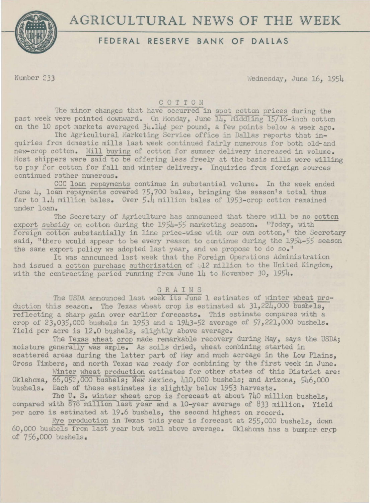# **AGRICULTURAL** NEW **OF THE** WEEK



# **FEDERAL RESERVE BANK OF DALLAS**

Number 233 Wednesday, June 16, 1954

#### COTTON

The minor changes that have occurred in spot cotton prices during the past week were pointed downward. Cn Monday, June  $\overline{14}$ , Middling 15/16-inch cotton on the 10 spot markets averaged  $34.14$ ¢ per pound, a few points below a week ago.

The Agricultural Marketing Service office in Dallas reports that inquiries from dcmestic mills last week continued fairly numerous for both old-and new-crop cotton. Mill buying of cotton for summer delivery increased in volume. Most shippers were said to be offering less freely at the basis mills were willing to pay for cotton for fall and winter delivery. Inquiries from foreign sources continued rather numerous.

CCC loan repayments continue in substantial volume. In the week ended June  $\mu$ , loan repayments covered 75,700 bales, bringing the season's total thus far to 1.4 million bales. Over 5.4 million bales of 1953-crop cotton remained under loan.

The Secretary of Agriculture has announced that there will be no cottcn export subsidy on cotton during the 1954-55 marketing season. "Today, with foreign cotton substantially in line price-wise with our own cotton," the Secretary said, "there would appear to be every reason to continue during the 1954-55 season the same export policy we adopted last year, and we propose to do so."

It was announced last week that the Foreign Operations dministration had issued a cotton purchase authorization of .12 million to the United Kingdom, with the contracting period running from June 14 to November 30, 1954.

#### **GRAINS**

The USDA announced last week its June 1 estimates of winter wheat production this season. The Texas wheat crop is estimated at  $31,224,000$  bush $\epsilon \overline{1s}$ . reflecting a sharp gain over earlier forecasts. This estimate compares with a crop of  $23,035,000$  bushels in 1953 and a 1943-52 average of 57,221,000 bushels. Yield per acre is 12.0 bushels, slightly above average.

The Texas wheat crop made remarkable recovery during May, says the USDA; moisture generally was ample. As soils dried, wheat combining started in scattered areas during the latter part of May and much acreage in the Low Plains, Cross Timbers, and north Texas was ready for ccmbining by the first week in June.

Winter wheat production estimates for other states of this District are: Oklahoma,  $\overline{66,052}$ , 000 bushels; New Mexico, 410,000 bushels; and Arizona, 546,000 bushels. Each of these estimates is slightly below 19S3 harvests.

The U. S. winter wheat crop is forecast at about  $740$  million bushels. compared with 878 million last year and a 10-year average of 833 million. Yield per acre is estimated at 19.6 bushels, the second highest on record.

Rye production in Texas this year is forecast at 255,000 bushels, down 60,000 bushels from last year but well above average. Oklahoma has a bumper crop of 756,000 bushels.